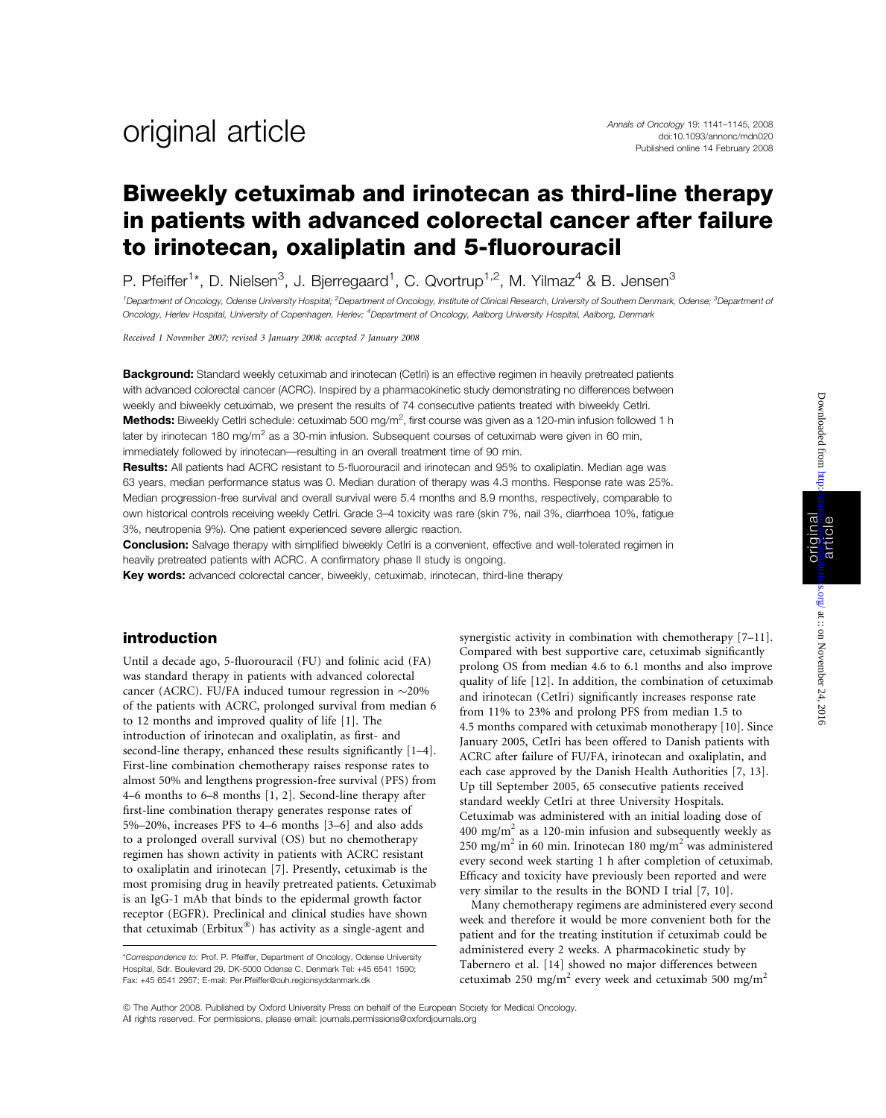## Biweekly cetuximab and irinotecan as third-line therapy in patients with advanced colorectal cancer after failure to irinotecan, oxaliplatin and 5-fluorouracil

P. Pfeiffer<sup>1\*</sup>, D. Nielsen<sup>3</sup>, J. Bjerregaard<sup>1</sup>, C. Qvortrup<sup>1,2</sup>, M. Yilmaz<sup>4</sup> & B. Jensen<sup>3</sup>

<sup>1</sup>Department of Oncology, Odense University Hospital; <sup>2</sup>Department of Oncology, Institute of Clinical Research, University of Southern Denmark, Odense; <sup>3</sup>Department of Oncology, Herlev Hospital, University of Copenhagen, Herlev; <sup>4</sup>Department of Oncology, Aalborg University Hospital, Aalborg, Denmark

Received 1 November 2007; revised 3 January 2008; accepted 7 January 2008

**Background:** Standard weekly cetuximab and irinotecan (CetIri) is an effective regimen in heavily pretreated patients with advanced colorectal cancer (ACRC). Inspired by a pharmacokinetic study demonstrating no differences between weekly and biweekly cetuximab, we present the results of 74 consecutive patients treated with biweekly CetIri. Methods: Biweekly Cetlri schedule: cetuximab 500 mg/m<sup>2</sup>, first course was given as a 120-min infusion followed 1 h later by irinotecan 180 mg/m<sup>2</sup> as a 30-min infusion. Subsequent courses of cetuximab were given in 60 min, immediately followed by irinotecan—resulting in an overall treatment time of 90 min.

Results: All patients had ACRC resistant to 5-fluorouracil and irinotecan and 95% to oxaliplatin. Median age was 63 years, median performance status was 0. Median duration of therapy was 4.3 months. Response rate was 25%. Median progression-free survival and overall survival were 5.4 months and 8.9 months, respectively, comparable to own historical controls receiving weekly CetIri. Grade 3–4 toxicity was rare (skin 7%, nail 3%, diarrhoea 10%, fatigue 3%, neutropenia 9%). One patient experienced severe allergic reaction.

**Conclusion:** Salvage therapy with simplified biweekly Cetlri is a convenient, effective and well-tolerated regimen in heavily pretreated patients with ACRC. A confirmatory phase II study is ongoing.

Key words: advanced colorectal cancer, biweekly, cetuximab, irinotecan, third-line therapy

#### introduction

Until a decade ago, 5-fluorouracil (FU) and folinic acid (FA) was standard therapy in patients with advanced colorectal cancer (ACRC). FU/FA induced tumour regression in  $\sim$ 20% of the patients with ACRC, prolonged survival from median 6 to 12 months and improved quality of life [1]. The introduction of irinotecan and oxaliplatin, as first- and second-line therapy, enhanced these results significantly [1–4]. First-line combination chemotherapy raises response rates to almost 50% and lengthens progression-free survival (PFS) from 4–6 months to 6–8 months [1, 2]. Second-line therapy after first-line combination therapy generates response rates of 5%–20%, increases PFS to 4–6 months [3–6] and also adds to a prolonged overall survival (OS) but no chemotherapy regimen has shown activity in patients with ACRC resistant to oxaliplatin and irinotecan [7]. Presently, cetuximab is the most promising drug in heavily pretreated patients. Cetuximab is an IgG-1 mAb that binds to the epidermal growth factor receptor (EGFR). Preclinical and clinical studies have shown that cetuximab (Erbitux $^{\circledR}$ ) has activity as a single-agent and

synergistic activity in combination with chemotherapy [7–11]. Compared with best supportive care, cetuximab significantly prolong OS from median 4.6 to 6.1 months and also improve quality of life [12]. In addition, the combination of cetuximab and irinotecan (CetIri) significantly increases response rate from 11% to 23% and prolong PFS from median 1.5 to 4.5 months compared with cetuximab monotherapy [10]. Since January 2005, CetIri has been offered to Danish patients with ACRC after failure of FU/FA, irinotecan and oxaliplatin, and each case approved by the Danish Health Authorities [7, 13]. Up till September 2005, 65 consecutive patients received standard weekly CetIri at three University Hospitals. Cetuximab was administered with an initial loading dose of  $400 \text{ mg/m}^2$  as a 120-min infusion and subsequently weekly as 250 mg/m<sup>2</sup> in 60 min. Irinotecan 180 mg/m<sup>2</sup> was administered every second week starting 1 h after completion of cetuximab. Efficacy and toxicity have previously been reported and were very similar to the results in the BOND I trial [7, 10].

Many chemotherapy regimens are administered every second week and therefore it would be more convenient both for the patient and for the treating institution if cetuximab could be administered every 2 weeks. A pharmacokinetic study by Tabernero et al. [14] showed no major differences between cetuximab 250 mg/m<sup>2</sup> every week and cetuximab 500 mg/m<sup>2</sup>

<sup>\*</sup>Correspondence to: Prof. P. Pfeiffer, Department of Oncology, Odense University Hospital, Sdr. Boulevard 29, DK-5000 Odense C, Denmark Tel: +45 6541 1590; Fax: +45 6541 2957; E-mail: Per.Pfeiffer@ouh.regionsyddanmark.dk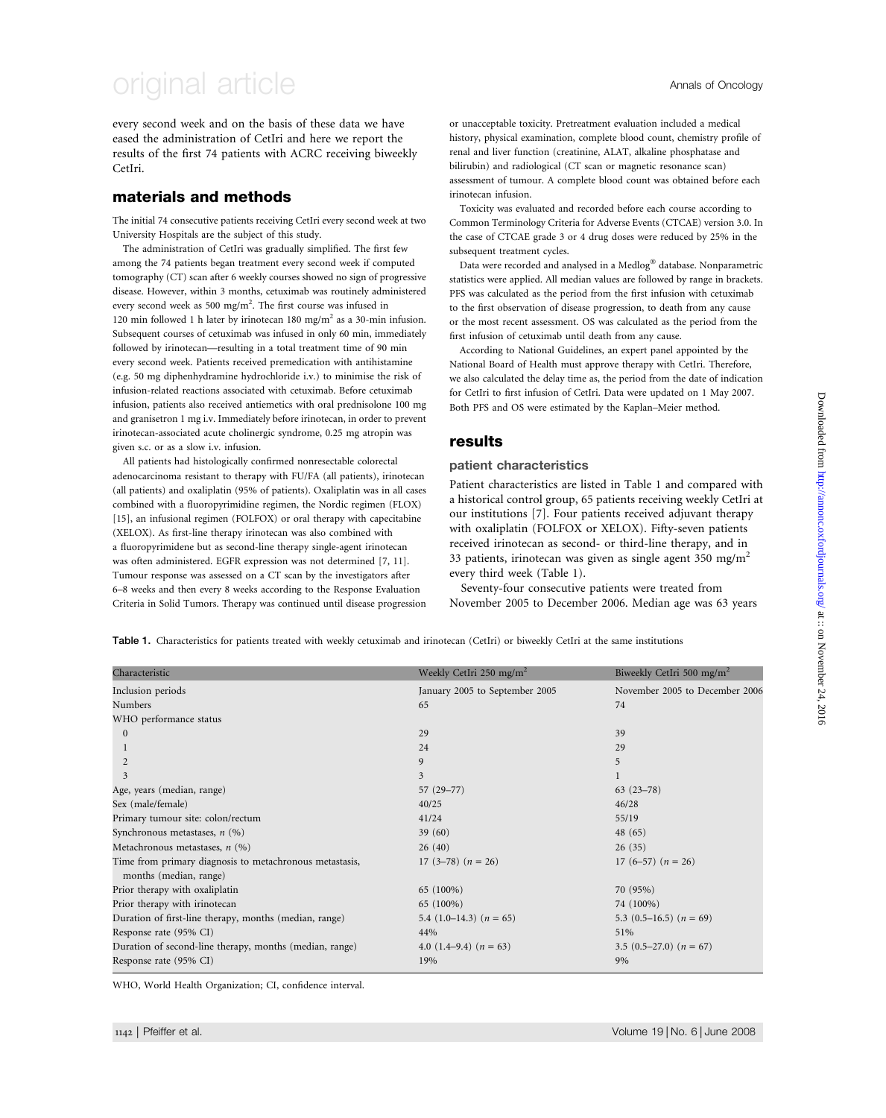# original article Annals of Oncology

every second week and on the basis of these data we have eased the administration of CetIri and here we report the results of the first 74 patients with ACRC receiving biweekly CetIri.

### materials and methods

The initial 74 consecutive patients receiving CetIri every second week at two University Hospitals are the subject of this study.

The administration of CetIri was gradually simplified. The first few among the 74 patients began treatment every second week if computed tomography (CT) scan after 6 weekly courses showed no sign of progressive disease. However, within 3 months, cetuximab was routinely administered every second week as 500 mg/m<sup>2</sup>. The first course was infused in 120 min followed 1 h later by irinotecan 180 mg/m<sup>2</sup> as a 30-min infusion. Subsequent courses of cetuximab was infused in only 60 min, immediately followed by irinotecan—resulting in a total treatment time of 90 min every second week. Patients received premedication with antihistamine (e.g. 50 mg diphenhydramine hydrochloride i.v.) to minimise the risk of infusion-related reactions associated with cetuximab. Before cetuximab infusion, patients also received antiemetics with oral prednisolone 100 mg and granisetron 1 mg i.v. Immediately before irinotecan, in order to prevent irinotecan-associated acute cholinergic syndrome, 0.25 mg atropin was given s.c. or as a slow i.v. infusion.

All patients had histologically confirmed nonresectable colorectal adenocarcinoma resistant to therapy with FU/FA (all patients), irinotecan (all patients) and oxaliplatin (95% of patients). Oxaliplatin was in all cases combined with a fluoropyrimidine regimen, the Nordic regimen (FLOX) [15], an infusional regimen (FOLFOX) or oral therapy with capecitabine (XELOX). As first-line therapy irinotecan was also combined with a fluoropyrimidene but as second-line therapy single-agent irinotecan was often administered. EGFR expression was not determined [7, 11]. Tumour response was assessed on a CT scan by the investigators after 6–8 weeks and then every 8 weeks according to the Response Evaluation Criteria in Solid Tumors. Therapy was continued until disease progression

Toxicity was evaluated and recorded before each course according to Common Terminology Criteria for Adverse Events (CTCAE) version 3.0. In the case of CTCAE grade 3 or 4 drug doses were reduced by 25% in the subsequent treatment cycles.

Data were recorded and analysed in a Medlog® database. Nonparametric statistics were applied. All median values are followed by range in brackets. PFS was calculated as the period from the first infusion with cetuximab to the first observation of disease progression, to death from any cause or the most recent assessment. OS was calculated as the period from the first infusion of cetuximab until death from any cause.

According to National Guidelines, an expert panel appointed by the National Board of Health must approve therapy with CetIri. Therefore, we also calculated the delay time as, the period from the date of indication for CetIri to first infusion of CetIri. Data were updated on 1 May 2007. Both PFS and OS were estimated by the Kaplan–Meier method.

### results

#### patient characteristics

Patient characteristics are listed in Table 1 and compared with a historical control group, 65 patients receiving weekly CetIri at our institutions [7]. Four patients received adjuvant therapy with oxaliplatin (FOLFOX or XELOX). Fifty-seven patients received irinotecan as second- or third-line therapy, and in 33 patients, irinotecan was given as single agent 350 mg/m<sup>2</sup> every third week (Table 1).

Seventy-four consecutive patients were treated from November 2005 to December 2006. Median age was 63 years

Table 1. Characteristics for patients treated with weekly cetuximab and irinotecan (CetIri) or biweekly CetIri at the same institutions

| Characteristic                                          | Weekly CetIri 250 mg/m <sup>2</sup>                        | Biweekly CetIri 500 mg/m <sup>2</sup> |  |
|---------------------------------------------------------|------------------------------------------------------------|---------------------------------------|--|
| Inclusion periods                                       | January 2005 to September 2005                             | November 2005 to December 2006        |  |
| Numbers                                                 | 65                                                         | 74                                    |  |
| WHO performance status                                  |                                                            |                                       |  |
| $\mathbf{0}$                                            | 29                                                         | 39                                    |  |
|                                                         | 24                                                         | 29                                    |  |
|                                                         | 9                                                          | 5                                     |  |
| 3                                                       | 3                                                          |                                       |  |
| Age, years (median, range)                              | $57(29 - 77)$                                              | $63(23-78)$                           |  |
| Sex (male/female)                                       | 40/25                                                      | 46/28                                 |  |
| Primary tumour site: colon/rectum                       | 41/24                                                      | 55/19                                 |  |
| Synchronous metastases, $n$ (%)                         | 39(60)                                                     | 48(65)                                |  |
| Metachronous metastases, $n$ (%)                        | 26(40)<br>26(35)                                           |                                       |  |
| Time from primary diagnosis to metachronous metastasis, | 17 (3–78) $(n = 26)$<br>17 (6–57) ( $n = 26$ )             |                                       |  |
| months (median, range)                                  |                                                            |                                       |  |
| Prior therapy with oxaliplatin                          | 65 (100%)                                                  | 70 (95%)                              |  |
| Prior therapy with irinotecan                           | 65 (100%)                                                  | 74 (100%)                             |  |
| Duration of first-line therapy, months (median, range)  | 5.4 $(1.0-14.3)$ $(n = 65)$<br>5.3 $(0.5-16.5)$ $(n = 69)$ |                                       |  |
| Response rate (95% CI)                                  | 44%                                                        | 51%                                   |  |
| Duration of second-line therapy, months (median, range) | 4.0 $(1.4-9.4)$ $(n = 63)$                                 | 3.5 $(0.5-27.0)$ $(n = 67)$           |  |
| Response rate (95% CI)                                  | 19%                                                        | 9%                                    |  |

WHO, World Health Organization; CI, confidence interval.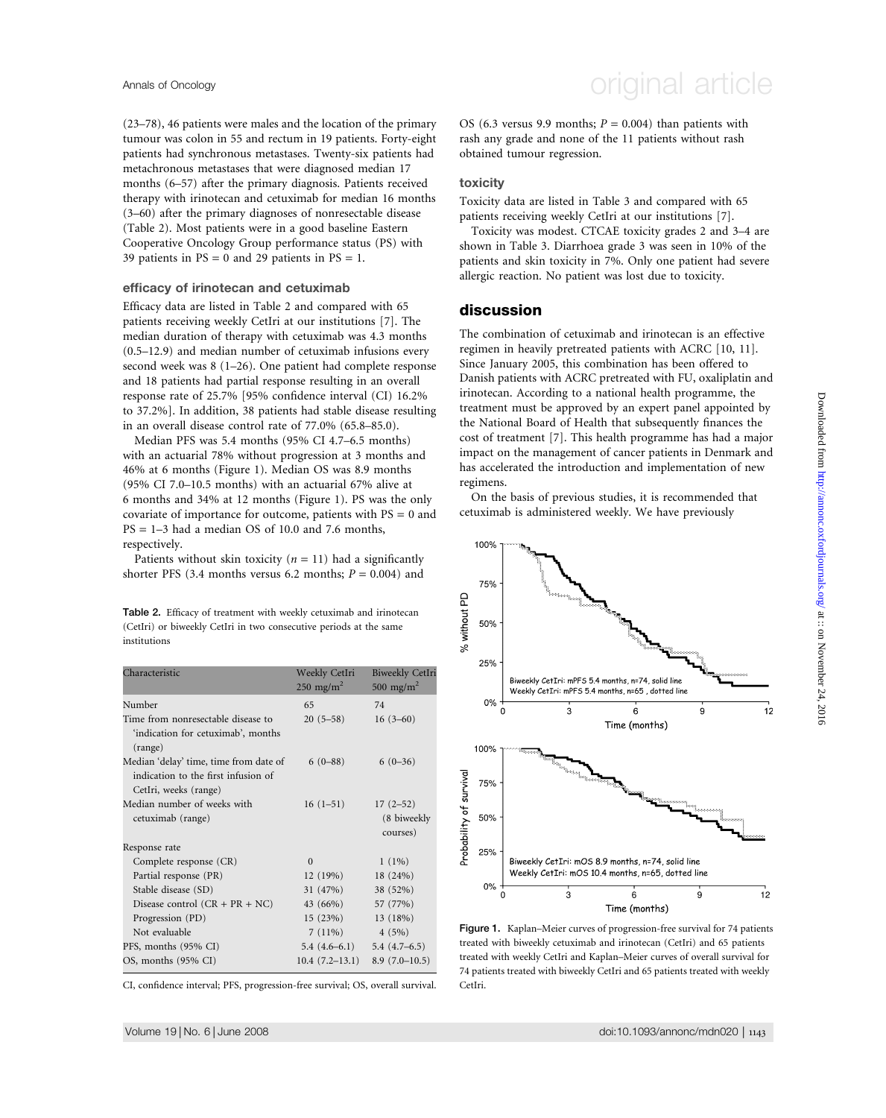(23–78), 46 patients were males and the location of the primary tumour was colon in 55 and rectum in 19 patients. Forty-eight patients had synchronous metastases. Twenty-six patients had metachronous metastases that were diagnosed median 17 months (6–57) after the primary diagnosis. Patients received therapy with irinotecan and cetuximab for median 16 months (3–60) after the primary diagnoses of nonresectable disease (Table 2). Most patients were in a good baseline Eastern Cooperative Oncology Group performance status (PS) with 39 patients in  $PS = 0$  and 29 patients in  $PS = 1$ .

#### efficacy of irinotecan and cetuximab

Efficacy data are listed in Table 2 and compared with 65 patients receiving weekly CetIri at our institutions [7]. The median duration of therapy with cetuximab was 4.3 months (0.5–12.9) and median number of cetuximab infusions every second week was 8 (1–26). One patient had complete response and 18 patients had partial response resulting in an overall response rate of 25.7% [95% confidence interval (CI) 16.2% to 37.2%]. In addition, 38 patients had stable disease resulting in an overall disease control rate of 77.0% (65.8–85.0).

Median PFS was 5.4 months (95% CI 4.7–6.5 months) with an actuarial 78% without progression at 3 months and 46% at 6 months (Figure 1). Median OS was 8.9 months (95% CI 7.0–10.5 months) with an actuarial 67% alive at 6 months and 34% at 12 months (Figure 1). PS was the only covariate of importance for outcome, patients with  $PS = 0$  and  $PS = 1-3$  had a median OS of 10.0 and 7.6 months, respectively.

Patients without skin toxicity ( $n = 11$ ) had a significantly shorter PFS (3.4 months versus 6.2 months;  $P = 0.004$ ) and

Table 2. Efficacy of treatment with weekly cetuximab and irinotecan (CetIri) or biweekly CetIri in two consecutive periods at the same institutions

| Characteristic                                                                                         | Weekly CetIri<br>$250 \text{ mg/m}^2$ | <b>Biweekly CetIri</b><br>500 mg/m <sup>2</sup> |
|--------------------------------------------------------------------------------------------------------|---------------------------------------|-------------------------------------------------|
| Number                                                                                                 | 65                                    | 74                                              |
| Time from nonresectable disease to<br>'indication for cetuximab', months<br>(range)                    | $20(5-58)$                            | $16(3-60)$                                      |
| Median 'delay' time, time from date of<br>indication to the first infusion of<br>CetIri, weeks (range) | $6(0-88)$                             | $6(0-36)$                                       |
| Median number of weeks with<br>cetuximab (range)                                                       | $16(1-51)$                            | $17(2-52)$<br>(8 biweekly<br>courses)           |
| Response rate                                                                                          |                                       |                                                 |
| Complete response (CR)                                                                                 | $\Omega$                              | $1(1\%)$                                        |
| Partial response (PR)                                                                                  | 12(19%)                               | 18 (24%)                                        |
| Stable disease (SD)                                                                                    | 31 (47%)                              | 38 (52%)                                        |
| Disease control $(CR + PR + NC)$                                                                       | 43 (66%)                              | 57 (77%)                                        |
| Progression (PD)                                                                                       | 15(23%)                               | 13 (18%)                                        |
| Not evaluable                                                                                          | $7(11\%)$                             | 4(5%)                                           |
| PFS, months (95% CI)                                                                                   | $5.4(4.6-6.1)$                        | $5.4(4.7-6.5)$                                  |
| OS, months (95% CI)                                                                                    | $10.4(7.2-13.1)$                      | $8.9(7.0-10.5)$                                 |

CI, confidence interval; PFS, progression-free survival; OS, overall survival.

OS (6.3 versus 9.9 months;  $P = 0.004$ ) than patients with rash any grade and none of the 11 patients without rash obtained tumour regression.

#### toxicity

Toxicity data are listed in Table 3 and compared with 65 patients receiving weekly CetIri at our institutions [7].

Toxicity was modest. CTCAE toxicity grades 2 and 3–4 are shown in Table 3. Diarrhoea grade 3 was seen in 10% of the patients and skin toxicity in 7%. Only one patient had severe allergic reaction. No patient was lost due to toxicity.

### discussion

The combination of cetuximab and irinotecan is an effective regimen in heavily pretreated patients with ACRC [10, 11]. Since January 2005, this combination has been offered to Danish patients with ACRC pretreated with FU, oxaliplatin and irinotecan. According to a national health programme, the treatment must be approved by an expert panel appointed by the National Board of Health that subsequently finances the cost of treatment [7]. This health programme has had a major impact on the management of cancer patients in Denmark and has accelerated the introduction and implementation of new regimens.

On the basis of previous studies, it is recommended that cetuximab is administered weekly. We have previously



Figure 1. Kaplan–Meier curves of progression-free survival for 74 patients treated with biweekly cetuximab and irinotecan (CetIri) and 65 patients treated with weekly CetIri and Kaplan–Meier curves of overall survival for 74 patients treated with biweekly CetIri and 65 patients treated with weekly CetIri.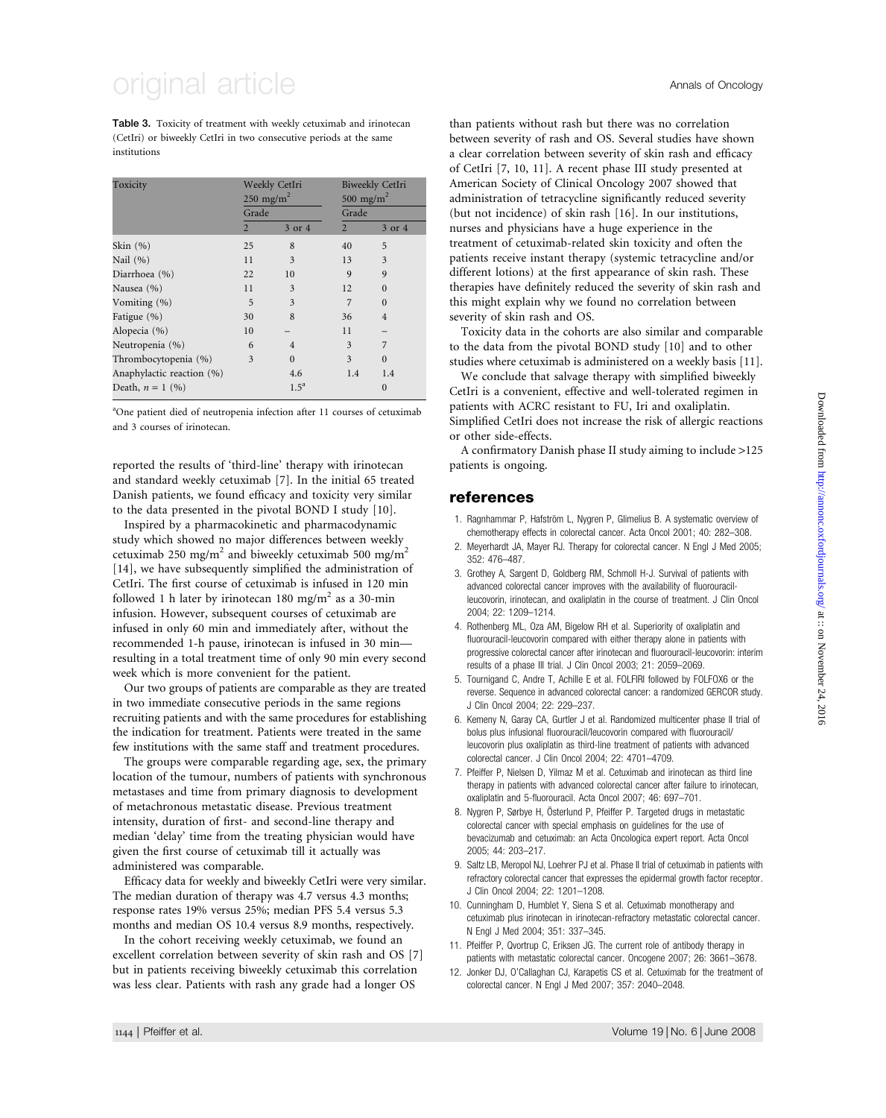# original article Annals of Oncology

Table 3. Toxicity of treatment with weekly cetuximab and irinotecan (CetIri) or biweekly CetIri in two consecutive periods at the same institutions

| Toxicity                  | Weekly CetIri<br>250 mg/m <sup>2</sup> |                         |                | Biweekly CetIri<br>500 mg/m <sup>2</sup> |  |
|---------------------------|----------------------------------------|-------------------------|----------------|------------------------------------------|--|
|                           | Grade                                  |                         | Grade          |                                          |  |
|                           | $\overline{2}$                         | 3 or 4                  | $\overline{2}$ | 3 or 4                                   |  |
| Skin $(%)$                | 25                                     | 8                       | 40             | 5                                        |  |
| Nail (%)                  | 11                                     | 3                       | 13             | 3                                        |  |
| Diarrhoea (%)             | 22                                     | 10                      | 9              | $\mathbf{Q}$                             |  |
| Nausea (%)                | 11                                     | 3                       | 12             | $\Omega$                                 |  |
| Vomiting $(\% )$          | 5                                      | $\overline{\mathbf{3}}$ |                | $\Omega$                                 |  |
| Fatigue (%)               | 30                                     | 8                       | 36             | $\overline{4}$                           |  |
| Alopecia (%)              | 10                                     |                         | 11             |                                          |  |
| Neutropenia (%)           | 6                                      | $\overline{4}$          | 3              | 7                                        |  |
| Thrombocytopenia (%)      | 3                                      | $\Omega$                | 3              | $\Omega$                                 |  |
| Anaphylactic reaction (%) |                                        | 4.6                     | 1.4            | 1.4                                      |  |
| Death, $n = 1$ (%)        |                                        | $1.5^{\mathrm{a}}$      |                | $\Omega$                                 |  |

<sup>a</sup>One patient died of neutropenia infection after 11 courses of cetuximab and 3 courses of irinotecan.

reported the results of 'third-line' therapy with irinotecan and standard weekly cetuximab [7]. In the initial 65 treated Danish patients, we found efficacy and toxicity very similar to the data presented in the pivotal BOND I study [10].

Inspired by a pharmacokinetic and pharmacodynamic study which showed no major differences between weekly cetuximab 250 mg/m<sup>2</sup> and biweekly cetuximab 500 mg/m<sup>2</sup> [14], we have subsequently simplified the administration of CetIri. The first course of cetuximab is infused in 120 min followed 1 h later by irinotecan 180 mg/m<sup>2</sup> as a 30-min infusion. However, subsequent courses of cetuximab are infused in only 60 min and immediately after, without the recommended 1-h pause, irinotecan is infused in 30 min resulting in a total treatment time of only 90 min every second week which is more convenient for the patient.

Our two groups of patients are comparable as they are treated in two immediate consecutive periods in the same regions recruiting patients and with the same procedures for establishing the indication for treatment. Patients were treated in the same few institutions with the same staff and treatment procedures.

The groups were comparable regarding age, sex, the primary location of the tumour, numbers of patients with synchronous metastases and time from primary diagnosis to development of metachronous metastatic disease. Previous treatment intensity, duration of first- and second-line therapy and median 'delay' time from the treating physician would have given the first course of cetuximab till it actually was administered was comparable.

Efficacy data for weekly and biweekly CetIri were very similar. The median duration of therapy was 4.7 versus 4.3 months; response rates 19% versus 25%; median PFS 5.4 versus 5.3 months and median OS 10.4 versus 8.9 months, respectively.

In the cohort receiving weekly cetuximab, we found an excellent correlation between severity of skin rash and OS [7] but in patients receiving biweekly cetuximab this correlation was less clear. Patients with rash any grade had a longer OS

than patients without rash but there was no correlation between severity of rash and OS. Several studies have shown a clear correlation between severity of skin rash and efficacy of CetIri [7, 10, 11]. A recent phase III study presented at American Society of Clinical Oncology 2007 showed that administration of tetracycline significantly reduced severity (but not incidence) of skin rash [16]. In our institutions, nurses and physicians have a huge experience in the treatment of cetuximab-related skin toxicity and often the patients receive instant therapy (systemic tetracycline and/or different lotions) at the first appearance of skin rash. These therapies have definitely reduced the severity of skin rash and this might explain why we found no correlation between severity of skin rash and OS.

Toxicity data in the cohorts are also similar and comparable to the data from the pivotal BOND study [10] and to other studies where cetuximab is administered on a weekly basis [11].

We conclude that salvage therapy with simplified biweekly CetIri is a convenient, effective and well-tolerated regimen in patients with ACRC resistant to FU, Iri and oxaliplatin. Simplified CetIri does not increase the risk of allergic reactions or other side-effects.

A confirmatory Danish phase II study aiming to include >125 patients is ongoing.

#### references

- 1. Ragnhammar P, Hafström L, Nygren P, Glimelius B. A systematic overview of chemotherapy effects in colorectal cancer. Acta Oncol 2001; 40: 282–308.
- 2. Meyerhardt JA, Mayer RJ. Therapy for colorectal cancer. N Engl J Med 2005; 352: 476–487.
- 3. Grothey A, Sargent D, Goldberg RM, Schmoll H-J. Survival of patients with advanced colorectal cancer improves with the availability of fluorouracilleucovorin, irinotecan, and oxaliplatin in the course of treatment. J Clin Oncol 2004; 22: 1209–1214.
- 4. Rothenberg ML, Oza AM, Bigelow RH et al. Superiority of oxaliplatin and fluorouracil-leucovorin compared with either therapy alone in patients with progressive colorectal cancer after irinotecan and fluorouracil-leucovorin: interim results of a phase III trial. J Clin Oncol 2003; 21: 2059–2069.
- 5. Tournigand C, Andre T, Achille E et al. FOLFIRI followed by FOLFOX6 or the reverse. Sequence in advanced colorectal cancer: a randomized GERCOR study. J Clin Oncol 2004; 22: 229–237.
- 6. Kemeny N, Garay CA, Gurtler J et al. Randomized multicenter phase II trial of bolus plus infusional fluorouracil/leucovorin compared with fluorouracil/ leucovorin plus oxaliplatin as third-line treatment of patients with advanced colorectal cancer. J Clin Oncol 2004; 22: 4701–4709.
- 7. Pfeiffer P, Nielsen D, Yilmaz M et al. Cetuximab and irinotecan as third line therapy in patients with advanced colorectal cancer after failure to irinotecan, oxaliplatin and 5-fluorouracil. Acta Oncol 2007; 46: 697–701.
- 8. Nygren P, Sørbye H, Österlund P, Pfeiffer P. Targeted drugs in metastatic colorectal cancer with special emphasis on guidelines for the use of bevacizumab and cetuximab: an Acta Oncologica expert report. Acta Oncol 2005; 44: 203–217.
- 9. Saltz LB, Meropol NJ, Loehrer PJ et al. Phase II trial of cetuximab in patients with refractory colorectal cancer that expresses the epidermal growth factor receptor. J Clin Oncol 2004; 22: 1201–1208.
- 10. Cunningham D, Humblet Y, Siena S et al. Cetuximab monotherapy and cetuximab plus irinotecan in irinotecan-refractory metastatic colorectal cancer. N Engl J Med 2004; 351: 337–345.
- 11. Pfeiffer P, Qvortrup C, Eriksen JG. The current role of antibody therapy in patients with metastatic colorectal cancer. Oncogene 2007; 26: 3661–3678.
- 12. Jonker DJ, O'Callaghan CJ, Karapetis CS et al. Cetuximab for the treatment of colorectal cancer. N Engl J Med 2007; 357: 2040–2048.